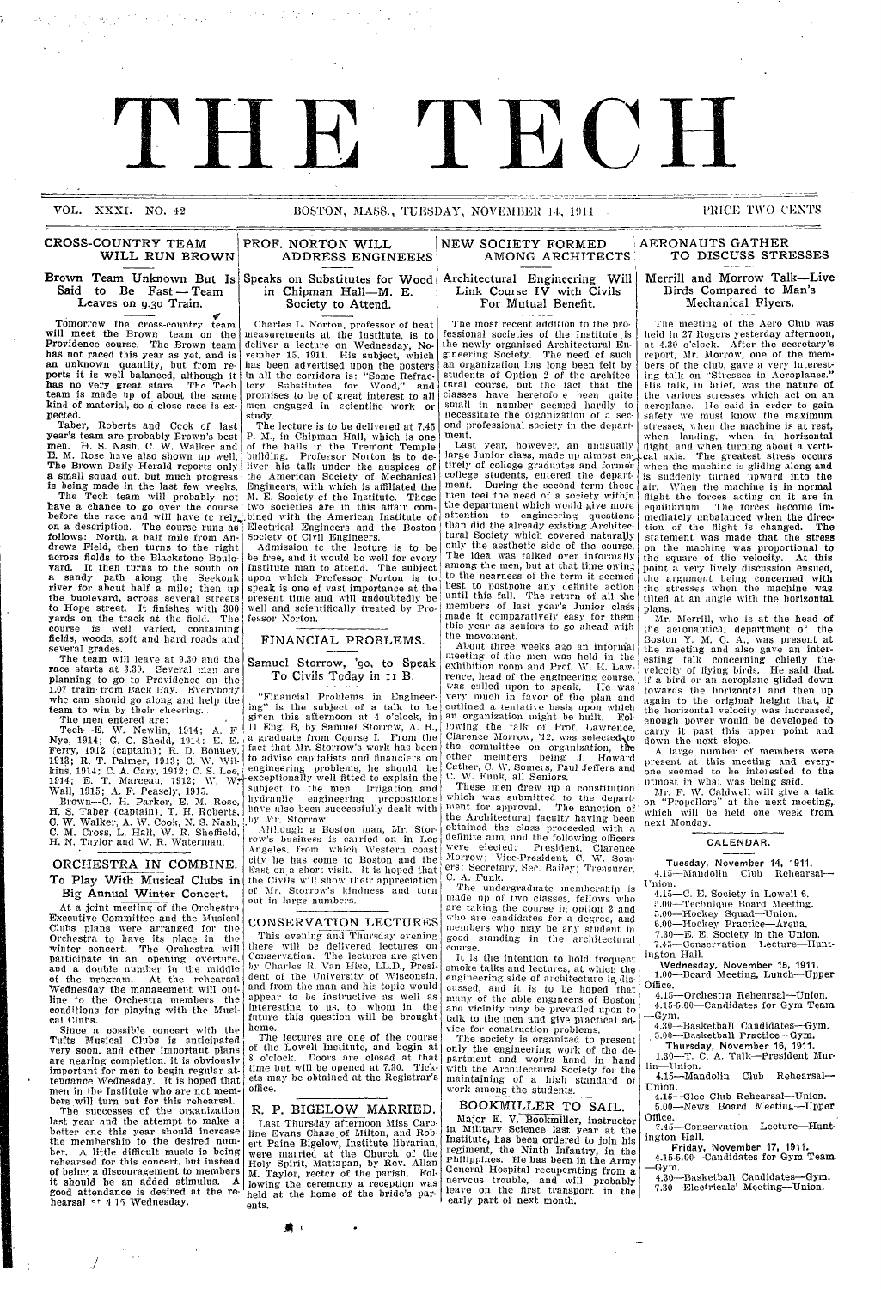### VOL. XXXI. NO. 42 BOSTON, MASS., TUESDAY, NOVEMBER 14, 1911 PRICE TWO CENTS

THE TECH

### CROSS-COUNTRY TEAM WILL RUN BROWN

Brown Team Unknown But Is Said to Be Fast -- Team Leaves on **9.3o** Train.

Tomorrow the cross-country team will meet the Brown team on the Providence course. The Brown team<br>has not raced this year as yet, and is an unknown quantity, but from re- ports it is well balanced, although it has no very great stars. The Tech team is made up of about the same kind of material, so a close race is ex- pected.

Taber, Roberts and Ccok of last year's team are probably Brown's best men. H. S. Nash, C. W. Walker and E. M. Rose have also shown up well. The Brown Daily Herald reports only a small squad out, but much progress is being made in the last few weeks.

The Tech team will probably not have a chance to go over the course before the race and will have to rely. on a description. The course **runs** as follows: North, a half mile from Andrews Field, then turns to the right across fields to the Blackstone Boule- .yard. It then turns to the south on a sandy path along the Seekonk river for about half a mile; then up the buolevard, across several streets to Hope street. It finishes with 300 yards on the track at the field. The course is well varied, containing fields, woods, soft and hard roads and several grades.<br>The team will leave at 9.30 and the

race starts at 3.30. Several man are planning to go to Providence on the 1.07 train-from Back Pay. Everybody who can should go along and help the team to win by their cheering..

The men entered are: Tech-E. W. Newlin, 1914; A. F Nye, 1914; G. C. Shedd, 1914: E. E. Ferry, 1912 (captain); R. D. Bonney, 1913; R. T. Palmer, 1913; C. W. Wilkins, 1914; C. A. Cary, 1912; C. S. Lee, 1914; E. T. Marceau, 1912; W. W $+$ <sup>6</sup> Wall, 1915; A. F. Peasely, 1915.

Browxn--C. H. Parker, E. M. Rose, H. S. Taber (captain). T. H. Roberts, C. W. Walker, A. W. Cook, N. S. Nash, C. M. Cross, L. Hall, W. R. Sheffield, *H.* N. Taylor and W. R. Waterman.

### ORCHESTRA IN COMBINE. To Play With Musical Clubs in Big Annual Winter Concert.

At a joint meeting of the Orchestra Executive Committee and the Musical Clubs plans were arranged for the Orchestra to have its place in the winter concert. The Orchestra will participate in an opening overture, and a double number in the middle of the program. At the rehearsal Wednesday the management will outline to the Orchestra members the conditions for playing with the Musical Clubs.

Since a nossible concert with the Tufts Musical Clubs is anticipated very soon. and ether important plans are nearing completion. it is obviously are nearing completion, it is obviously important for men to begin regular attendance Wrednesday. It is hoped that men in the Institute who are not mem- bers will turn out for this rehearsal.

The successes of the organization last year and the attempt to make a better one this year should increase the membership to the desired num-<br>ber. A little difficult music is being rehearsed for this concert, but instead of being a discouragement to members it should be an added stimulus. A good attendance is desired at the re-<br>hearsal  $\uparrow$ <sup>1</sup> 1<sup>5</sup> Wednesday.

 $\mathcal{O}(\mathcal{O}_\mathcal{O})$  . The  $\mathcal{O}_\mathcal{O}$ 

I

## **ADDRESS** ENGINEERS Wood E.

Society to Attend.

Charles L. Norton, professor of heat measurements at the Institute, is to deliver a lecture on Wednesday, November 15, 1911. His subject, which *Ihas* been advertised upon the posters in all the corridors is: "Some Refractcry Substitutes for Wood," and promises to be of great interest to all<br>men engaged in scientific work or study.

The lecture is to be delivered at 7.45 P. M., in Chipman Hall, which is one of the halls in the Tremont Temple building. Professor Norton is to deliver his talk under the auspices of the American Society of Mechanical Engineers, with which is affiliated the M. E. Society of the Institute. These two societies are in this affair com- .bined with the American Institute of Electrical Engineers and the Boston Society of Civil Engineers.

Admission tc the lecture is to be be free, and it would be well for every Institute man to attend. The subject upon which Professor Norton is to speak is one of vast importance at the piresent time and will undoubtedly be well and scientifically treated by Professor Norton. I

### FINANCIAL PROBLEMS.

Samuel Storrow, 'go, to Speak To Civils Teday in 11 B.

'Financial Problems in Engineering" is the subject of a talk to be given this afternoon at 4 o'clock, in 11 Eng. B, by Samuel Storrow, A. B.,<br>a graduate from Course I. From the fact that Mr. Storrow's work has been to advise capitalists and financiers o<mark>n</mark><br>engineering problems, he should be -exceptionally well fitted to explain the subject to the men. Irrigation and hydraulic engineering propositions liave also been successfully dealt with 'by *11Mr.* Storrow.

Although a Boston man, Mr. Storirow's business is carried on in Los Angeles, from which Western coast city he has come to Boston and the East on a short visit. It is hoped that the Civils will show their appreciation of Mr. Storrow's kindness and tuin out in large numbers.

### CONSERVATION LECTURES

This evening and Thursday evening there will be delivered lectures on Conservation. The lectures are given by Charles R. Van Hise, LL.D., President of the University of Wisconsin and from tile man and his topic would appear to be instructive as well as interesting to us, to whom in the future this question will be brought heme.

The lectures are one of the course of the Lowell Institute, and begin at 8 o'clock. Doors are closed at that time but will be opened at 7.30. Tickets may he obtained at the Registrar's offlice.

### **R. P. BIGELOW MARRIED.**

Last Thursday afternoon Miss Caroline Evans Chase of Milton, and Robert Paine Bigelow, Institute librarian,<br>were married at the Church of the Holy Spirit, Mattapan, by Rev. Allar M. Taylor, rector of the parish. Following the ceremony a reception was held at the home of the bride's parents.

 $\bullet$ 

### Architectural Engineering Will Link Course IV with Civils **EMIX COUTS TV WITH \**<br>For Mutual Benefit

AMONG ARCHITECTS

NEW SOCIETY FORMED

The most recent addition to the professional societies of the Institute is the newly organized Architectural Engineering Society. The need cf such an organization has long been felt by students of Option 2 of the architec. tural course, but the fact that the classes have heretofo e been quite<br>small in number seemed hardly to small in number seemed hardly to<br>necessitate the oiganization of a sec-<br>ond professional society in the department.

Last year, however, an unusually large Junior class, made up almost en-<br>tirely of college graduates and former tirely of college graduates and former<br>college students, entered the depart-<br>ment. During the second term these men feel the need of a society within the department which would give more<br>attention to engineering questions than did the already existing Architectural Society which covered naturaljy only the aesthetic side of the course. The idea was talked over informally among the men, but at that time owing to the nearness of the term it seemed best to postpone any definite action until this fall. The return of all the members of last year's Junior cla made it comparatively easy for them this year as seniors to go ahead with the movement.

About three weeks ago an informal meeting of the men was held in the exhibition room and Prof. W. H. Lawrence, head of the engineering course, was culled upon to speak. He was very much in favor of the plan and outlined a tentative basis upon which outlined a tentative basis upon which an organization might be built. Following the talk of Prof. Lawrence, Clarence Morrow, '12. was selected to the committee on organization, the other members being J. Howard Cather, C. W. Somers, Paul Jeffers and C. W. Funk, all Seniors.

These men drew up a constitution<br>which was submitted to the department for approval. The sanction of the Architectural faculty having been<br>obtained the class proceeded with a definite aim, and the following officers Were elected: President, Clarence<br>Morrow; Vice-President, C. W. Somers; Secretary, Sec. Bailey; Treasurer, C. A. Funk.

The undergraduate membership is<br>made up of two classes, fellows who are taking the course in option 2 and who are candidates for a degree, and members who may be any student in good standing in tile architectural collrse.

It is the intention to hold frequent smoke talks and lectures, at which the engineering side of architecture is, discussed, and it is to be hoped that many of the able engineers of Boston and vicinity may be prevailed upon to talk to the men and give practical advice for construction problems.

The society is organized to present only the engineering work of the department and works hand in hand with the Architectural Society for the maintaining of a high standard of work among the students.

### BOOKMILLER TO **SAIL.**

Major **E. V.** Bookmiller, instructor in Military Science last year at the Institute, has been ordered to join his regiment, the Ninth Infantry, in the Philippines. He has been in the Army<br>General Hospital recuperating from a General Hospital recuperating from a<br>nervous trouble, and will probably leave on the first transport in the early part of next month.

\_\_\_ I\_ \_\_\_\_ \_ \_ I\_\_ \_\_\_\_\_\_\_ \_\_\_\_\_\_\_

## **AERONAUTS GATHER** TO DISCUSS **STRESSES**

- - ----- - -- - - -

#### **Merrill and Morrow** Talk-Live Birds Compared to Man's Mechanical Flyers.

The meeting of the Aero Club was held in 27 Rogers yesterday afternoon, at 4.30 o'clock. After the secretary's report, Mr. Morrow, one of the mem-<br>bers of the club, gave a very interesting talk on '"Stresses in Aeroplanes." His talk, in brief, was the nature of the various stresses which act on an aeroplane. He said in order to gain safety we must know the maximum<br>stresses, when the machine is at rest, stresses, when the machine is at **rest,** when landing, when in horizontal flight, and when turning about a verti- \_cal axis. The greatest stress occurs when the machine is gliding along and is suddenly turned upward into the air. When the machine is in normal flight the forces acting on it are in equilibrium. The forces become immediately unbalanced when the direction of the flight is changed. The statement was made that the stress on the machine was proportional to the square of tlie velocity. At this point a very lively discussion ensued, the argument being concerned wit<mark>h</mark><br>the stresses when the machin<mark>e was</mark><br>tilted at an angle with the horizo<mark>ntal</mark> plans.

Mr. Merrill, who is at the head of the aeronautical department of the Boston Y. M. C. A., was present at the meeting and also gave an interesting talk concerning chiefly the<br>velccity of flying-birds. He-said-<mark>that</mark><br>if a bird or an aeroplane-glided-down towards the horizontal and then up again to the original? height that, if the horizontal velocity was increased, enough power would be developed to carry it past this upper point and down the next slope

A large number cf members were present at this meeting and every- one seemed to be interested to the utmost in whal was being said.

Mr. F. W. Caldwell will give a talk on "Propellors" at the next meeting, which will be held one week from next Monday.

#### CALENDAR.

Tuesday, November 14, 1911. 4.15-Mandolin Club Rehearsal- 'Union.

- 4.15--C. E. Society in Lowell 6.<br>5.00-Technique Board Meeting.
- 
- 5.00-Hockey Squad-Union.
- 6.00-Hockey Practice-Arena 7.30-E. E. Society in the Union.
- 7.45-Conservation Lecture-Huntington Hall.
- Wednesday, November 15, 1911. 1.00-Board Meeting, Lunch-Upper Oiffice.
- 4.15-Orchestra Rehearsal-Union. 4.15-5.00-Candidates for Gym Team -Gym,
- 4.30-Basketball Candidates-Gym. 5.00--Basketball Practice-Gym.
- **Thursday, November** 16, 1911. 1.30-T. C. A. Talk-President Murlin--Tinion.
- 4.15-Mandolin Club Rehearsal-Union.
- 4.15-Glee Club Rehearsal-Union. 5.00-News Board Meeting-Uppe
- Office. 7.45-Conservation Lecture-Hunt-
- ington Hall. **Friday, November 17, 1911.**<br>4.15-5.00—Candidates for Gym Team.
- -Gym.<br>4.30---Basketball Candidates--Gym.
- 7.30-Electricals' Meeting-Union.

# Speaks on Substitutes for in Chipman Hall-M.

PROF. NORTON WILL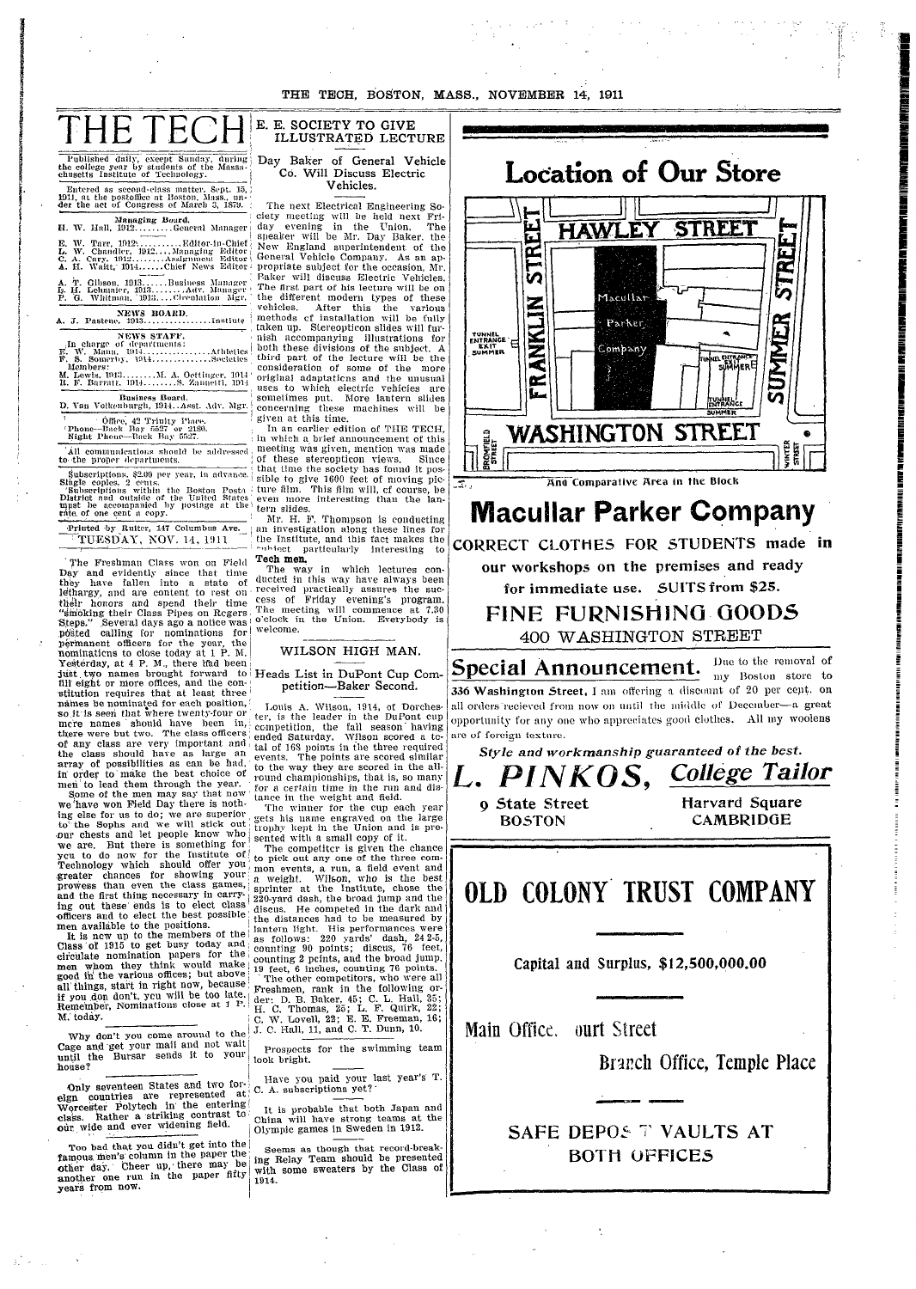| THE TECH, BOSTON, MASS., NOVEMBER 14, 1911                                                                                                                              |                                                                                                                                                                    |                                                                                                                 |
|-------------------------------------------------------------------------------------------------------------------------------------------------------------------------|--------------------------------------------------------------------------------------------------------------------------------------------------------------------|-----------------------------------------------------------------------------------------------------------------|
| THE TECT                                                                                                                                                                | E. E. SOCIETY TO GIVE<br>ILLUSTRATED LECTURE                                                                                                                       |                                                                                                                 |
| Published daily, except Sunday, during<br>the college year by students of the Massa-<br>enusetts Institute of Technology.<br>Entered as second-class matter. Sept. 15.) | Day Baker of General Vehicle<br>Co. Will Discuss Electric<br>Vehicles.                                                                                             | <b>Location of Our Ste</b>                                                                                      |
| 1911, at the postoffice at Boston, Mass., un-<br>der the act of Congress of March 3, 1879.<br>Managing Board.                                                           | The next Electrical Engineering So-<br>ciety meeting will be held next Fri-                                                                                        |                                                                                                                 |
| H. W. Hall, 1912General Manager<br>E. W. Tarr, 1912Editor-in-Chief.<br>L. W. Chandler, 1912Managing Editor                                                              | day evening in the Union.<br>The<br>speaker will be Mr. Day Baker, the<br>New England superintendent of the                                                        | <b>STREE</b><br>HAWLEY<br>ᄄ                                                                                     |
| C. A. Cary, 1912Assignment Editor<br>A. T. Gibson, 1913Business Manager<br>Le H. Lehmaier, 1913Adv. Manager                                                             | General Vehicle Company. As an ap-<br>propriate subject for the occasion, Mr.<br>Paker will discuss Electric Vehicles.<br>The first part of his lecture will be on | ัท                                                                                                              |
| P. G. Whitman, 1913 Chreulation Mgr.<br>NEWS BOARD.                                                                                                                     | the different modern types of these<br>vehicles.<br>After this the various<br>methods of installation will be fully                                                | Macullar                                                                                                        |
| NEWS STAFF.<br>In charge of departments:<br>E. W. Mann. 1914<br>. Athletics                                                                                             | taken up. Stereopticon slides will fur-<br>nish accompanying illustrations for<br>both these divisions of the subject. A                                           | <b>ANKLIN</b><br>Parker<br>TUNNEL<br>ENTRANCE<br>SUMMER<br>Company                                              |
| F. S. Somerby, 1914Societies<br>Members:<br>M. Lewis, 1913M. A. Octtinger, 1914 .<br>R. F. Barratt. 1914S. Zannetti, 1914                                               | third part of the lecture will be the<br>consideration of some of the more<br>original adaptations and the unusual                                                 | WANEL ENTRAN<br>SUMME<br>Œ                                                                                      |
| Business Board.<br>D. Van Volkenburgh, 1914. Asst. Adv. Mgr. (                                                                                                          | uses to which electric vehicles are<br>sometimes put. More lantern slides<br>concerning these machines will be<br>given at this time.                              | سرا<br><b>IT VAN ELL</b><br> ENTRANCE<br>SUMMER                                                                 |
| Office, 42 Trinity Place.<br>'Phone-Back Bay 5527 or 2180.<br>Night Phone-Back Bay 5527.<br>All communications should be addressed                                      | In an earlier edition of THE TECH.<br>in which a brief announcement of this<br>meeting was given, mention was made                                                 | WASHINGTON STREE<br><b>BROMFIELD</b><br>STREET                                                                  |
| to the proper departments.<br>Subscriptions, \$2.00 per year, in advance.<br>Slugle coples, 2 cents.                                                                    | of these stereopticon views.<br>Since<br>that time the society has found it pos-<br>sible to give 1600 feet of moving pic-                                         | And Comparative Area in the Block<br>国.                                                                         |
| Subscriptions within the Boston Posta<br>District and outside of the United States<br>must be accompanied by postage at the!<br>ráte, of one cent a copy.               | ture film. This film will, cf course, be<br>even more interesting than the lan-<br>tern slides.<br>Mr. H. F. Thompson is conducting                                | <b>Macullar Parker Com</b>                                                                                      |
| Printed by Ruiter, 147 Columbus Ave.<br>TUESDAY, NOV. 14, 1911                                                                                                          | an investigation along these lines for<br>the Institute, and this fact makes the<br>mhiect particularly interesting to                                             | CORRECT CLOTHES FOR STUDENT                                                                                     |
| The Freshman Class won on Field<br>Day and evidently since that time<br>they have fallen into a state of                                                                | Tech men.<br>The way in which lectures con-<br>ducted in this way have always been<br>received practically assures the suc-                                        | our workshops on the premises an<br>for immediate use. SUITS from                                               |
| lethargy, and are content to rest on<br>their honors and spend their time<br>"smoking their Class Pipes on Regers<br>Steps." Several days ago a notice was              | cess of Friday evening's program.<br>The meeting will commence at 7.30<br>o'clock in the Union. Everybody is                                                       | FINE FURNISHING GC                                                                                              |
| posted calling for nominations for<br>permanent officers for the year, the<br>nominations to close today at 1 P.M.                                                      | welcome.<br>WILSON HIGH MAN.                                                                                                                                       | 400 WASHINGTON STREI                                                                                            |
| Yesterday, at 4 P. M., there had been<br>fill eight or more offices, and the con-<br>stitution requires that at least three                                             | just two names brought forward to Heads List in DuPont Cup Com-<br>petition-Baker Second.                                                                          | Due t<br>Special Announcement.<br>$m\bar{v}$ 1<br>336 Washington Street, I am offering a discount of            |
| names be nominated for each position,<br>so it is seen that where twenty-four or<br>mere names should have been in.                                                     | Louis A. Wilson, 1914, of Dorches-<br>ter, is the leader in the DuPont cup<br>competition, the fall season having                                                  | all orders recieved from now on until the middle of De<br>opportunity for any one who appreciates good clothes. |
| there were but two. The class officers<br>of any class are very important and<br>the class should have as large an                                                      | ended Saturday. Wilson scored a to-<br>tal of 168 points in the three required<br>events. The points are scored similar                                            | are of foreign texture.<br>Style and workmanship guaranteed of                                                  |
| array of possibilities as can be had,<br>in order to make the best choice of<br>men to lead them through the year.<br>Some of the men may say that now                  | to the way they are scored in the all-<br>round championships, that is, so many<br>for a certain time in the run and dis-                                          | L. PINKOS, Collega                                                                                              |
| we have won Field Day there is noth-<br>ing else for us to do; we are superior<br>to the Sophs and we will stick out                                                    | tance in the weight and field.<br>The winner for the cup each year<br>gets his name engraved on the large<br>trophy kept in the Union and is pre-                  | 9 State Street<br>Harvard<br>CAMBI<br><b>BOSTON</b>                                                             |
| our chests and let people know who<br>we are. But there is something for<br>you to do now for the Institute of                                                          | sented with a small copy of it.<br>The competitor is given the chance<br>to pick out any one of the three com-                                                     |                                                                                                                 |
| Technology which should offer you<br>greater chances for showing your<br>prowess than even the class games,<br>and the first thing necessary in carry-                  | mon events, a run, a field event and<br>a weight. Wilson, who is the best<br>sprinter at the Institute, chose the                                                  | <b>OLD COLONY TRUST CON</b>                                                                                     |
| ing out these ends is to elect class<br>officers and to elect the best possible<br>men available to the positions.                                                      | 220-yard dash, the broad jump and the<br>discus. He competed in the dark and<br>the distances had to be measured by<br>lantern light. His performances were        |                                                                                                                 |
| It is new up to the members of the<br>Class of 1915 to get busy today and<br>circulate nomination papers for the<br>men whom they think would make                      | as follows: 220 yards' dash, 24 2-5,<br>counting 90 points; discus, 76 feet,<br>counting 2 pcints, and the broad jump.                                             | Capital and Surplus, \$12,500,000                                                                               |
| good in the various offices; but above<br>all'things, start in right now, because<br>if you don don't, you will be too late.                                            | 19 feet, 6 inches, counting 76 points.<br>The other competitors, who were all<br>Freshmen, rank in the following or-<br>der: D. B. Baker, 45; C. L. Hall, 35;      |                                                                                                                 |
| Remember, Nominations close at 1 P.<br>M. today.<br>Why don't you come around to the                                                                                    | H. C. Thomas, 25; L. F. Quirk, 22;<br>C. W. Lovell, 22; E. E. Freeman, 16;<br>J. C. Hall, 11, and C. T. Dunn, 10.                                                  | Main Office. ourt Street                                                                                        |
| Cage and get your mail and not wait<br>until the Bursar sends it to your<br>house?                                                                                      | Prospects for the swimming team<br>look bright.                                                                                                                    | Branch Office, Tem                                                                                              |
|                                                                                                                                                                         | Have you paid your last year's T.                                                                                                                                  |                                                                                                                 |
| Only seventeen States and two for-<br>eign countries are represented at                                                                                                 | C. A. subscriptions yet?                                                                                                                                           |                                                                                                                 |
| Worcester Polytech in the entering<br>class. Rather a striking contrast to<br>our wide and ever widening field.                                                         | It is probable that both Japan and<br>China will have strong teams at the<br>Olympic games in Sweden in 1912.                                                      | <b>SAFE DEPOS T VAULTS</b>                                                                                      |
| Too bad that you didn't get into the<br>famous men's column in the paper the<br>other day. Cheer up, there may be<br>another one run in the paper fifty                 | Seems as though that record-break-<br>ing Relay Team should be presented<br>with some sweaters by the Class of<br>1914.                                            | <b>BOTH OFFICES</b>                                                                                             |

 $\chi^2_{\rm{2}}$  , where  $\chi^2_{\rm{2}}$ 

ore

į

 $\overline{\overline{z}}$ 

—<br>इत⊑<br>इR J

# npany

'S made in d ready

\$25.

**ODS** ET

o the removal of Boston store to 20 per cept. on eember—a great All my woolens

the best. e Tailor

> Square RIDGE

MPANY

 $.00$ 

iple Place

AT

 $\ddot{\cdot}$ 

 $\sim 10$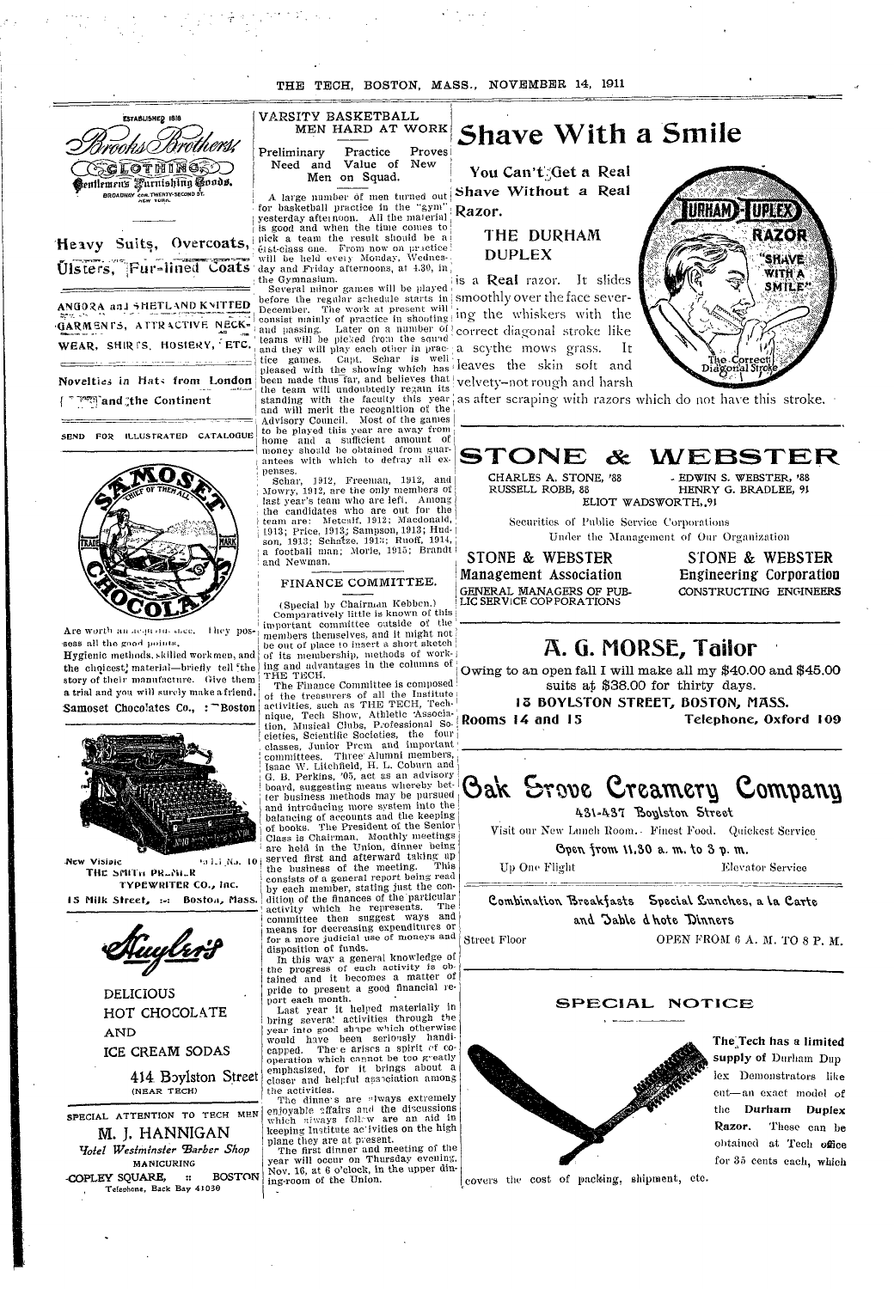THE TECH, BOSTON, MASS., NOVEMBER 14, 1911



Heavy Suits, Overcoats, Ulsters, Fur-lined Coats

ANGORA and SHETLAND KNITTED GARMENTS, ATTRACTIVE NECK-WEAR, SHIRTS, HOSIERY, ETC.

Novelties in Hats from London and the Continent

SEND FOR ILLUSTRATED CATALOGUE



Are worth an acquired once. They possess all the good points.

Hygienic methods, skilled workmen, and the choicest, material-briefly tell the story of their manufacture. Give them a trial and you will surely make a friend. Samoset Chocolates Co., : Boston



New Visipie 55115 No. 10 THE SMITH PRENER TYPEWRITER CO., Inc.

15 Milk Street, :-: Boston, Mass.



**DELICIOUS** HOT CHOCOLATE **AND** ICE CREAM SODAS

> 414 Boylston Street (NEAR TECH)

SPECIAL ATTENTION TO TECH MEN M. J. HANNIGAN Yotel Westminster Barber Shop MANICURING

COPLEY SQUARE, :: BOSTON Telephone, Back Bay 41030

#### VARSITY BASKETBALL MEN HARD AT WORK Proves Preliminary Practice Need and Value of New Men on Squad.

yesterday afternoon. All the material Razor. is good and when the time comes to pick a team the result should be a état-class one. From now on practice will be held every Monday, Wednesday and Friday afternoons, at 4.30, in the Gymnasium.

Several minor games will be played before the regular schedule starts in smoothly over the face sever-The work at present will December. consist mainly of practice in shooting! and passing. Later on a number of teams will be picked from the squad and they will play each other in prace a scythe mows grass. Capt. Schar is well tice games. pleased with the showing which has leaves the skin soft and been made thus far, and believes that the team will undoubtedly regain its standing with the faculty this year as after scraping with razors which do not have this stroke. Advisory Council. Most of the games to be played this year are away from and a sufficient amount of home money should be obtained from guarantees with which to defray all expenses.

1912, Freeman, 1912, and Schar. Mowry, 1912, are the only members of last year's team who are left. Among the candidates who are out for the<br>team are: Metcalf, 1912; Macdonald,<br>1913; Price, 1913; Sampson, 1913; Hudson, 1913; Schatze, 1913; Ruoff, 1914, a football man; Morie, 1915; Brandt and Newman.

### FINANCE COMMITTEE.

(Special by Chairman Kebbcn.)

Comparatively little is known of this important committee cutside of the members themselves, and it might not be out of place to insert a short sketch of its membership, methods of working and advantages in the columns of THE TECH. The Finance Committee is composed

of the treasurers of all the Institute activities, such as THE TECH, Technique, Tech Show, Athletic Association, Musical Clubs, Professional Societies, Scientific Societies, the four<br>classes, Junior Prem and important committees. Three Alumni members, Isaac W. Litchfield, H. L. Coburn and G. B. Perkins, '05, act as an advisory board, suggesting means whereby better business methods may be pursued and introducing more system into the balancing of accounts and the keeping of books. The President of the Senior<br>Class is Chairman. Monthly meetings are held in the Union, dinner being served first and afterward taking up the business of the meeting. This consists of a general report being read by each member, stating just the condition of the finances of the particular<br>activity which he represents. The committee then suggest ways and for a more judicial use of moneys and disposition of funds.

In this way a general knowledge of the progress of each activity is obtained and it becomes a matter of pride to present a good financial report each month.

Last year it helped materially in bring severa! activities through the year into good shape which otherwise would have been seriously handi-<br>capped. The e arises a spirit of cooperation which cannot be too greatly emphasized, for it brings about a closer and helpful association among the activities.

The dinne's are always extremely enjoyable affairs and the discussions which always follow are an aid in keeping Institute ac ivities on the high

plane they are at present.<br>The first dinner and meeting of the year will occur on Thursday evening. Nov. 16, at 6 o'clock, in the upper dining-room of the Union.

# **Shave With a Smile**

You Can't Get a Real A large number of men turned out Shave Without a Real

# THE DURHAM **DUPLEX**

is a **Real** razor. It slides ing the whiskers with the correct diagonal stroke like It velvety-not rough and harsh



# STONE &

CHARLES A. STONE, '88 - EDWIN S. WEBSTER, '88 RUSSELL ROBB, 88 ELIOT WADSWORTH, 91

Securities of Public Service Corporations Under the Management of Our Organization

STONE & WEBSTER Management Association GENERAL MANAGERS OF PUB-LIC SERVICE COPPORATIONS

STONE & WEBSTER Engineering Corporation CONSTRUCTING ENGINEERS

WEBSTER

HENRY G. BRADLEE, 91

# A. G. MORSE, Tailor

Owing to an open fall I will make all my \$40.00 and \$45.00 suits at \$38.00 for thirty days.

13 BOYLSTON STREET, BOSTON, MASS. Rooms 14 and 15 Telephone, Oxford 109

# Oak Srove Creamery Company

431-437 Boylston Street

Visit our New Lanch Room. Finest Food. Quickest Service

Open from 11.30 a.m. to 3 p.m.

Elevator Service

Combination Breakfasts Special Cunches, a la Carte and Jable d hote Dinners

**Street Floor** 

Up One Flight

OPEN FROM 6 A. M. TO 8 P. M.

## SPECIAL NOTICE



The Tech has a limited supply of Durham Dup lex Demonstrators like eut-an exact model of the Durham Duplex Razor. These can be obtained at Tech office for 35 cents each, which

covers the cost of packing, shipment, etc.